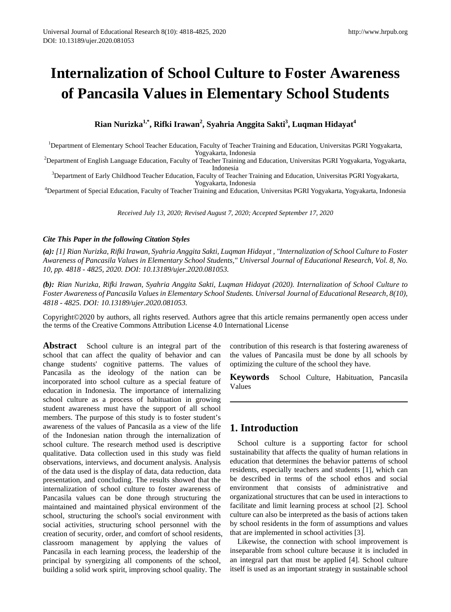# **Internalization of School Culture to Foster Awareness of Pancasila Values in Elementary School Students**

# **Rian Nurizka1,\*, Rifki Irawan2 , Syahria Anggita Sakti<sup>3</sup> , Luqman Hidayat<sup>4</sup>**

<sup>1</sup>Department of Elementary School Teacher Education, Faculty of Teacher Training and Education, Universitas PGRI Yogyakarta,

Yogyakarta, Indonesia<br><sup>2</sup>Department of English Language Education, Faculty of Teacher Training and Education, Universitas PGRI Yogyakarta, Yogyakarta,

Indonesia <sup>3</sup> Department of Early Childhood Teacher Education, Faculty of Teacher Training and Education, Universitas PGRI Yogyakarta,

Yogyakarta, Indonesia <sup>4</sup> Department of Special Education, Faculty of Teacher Training and Education, Universitas PGRI Yogyakarta, Yogyakarta, Indonesia

*Received July 13, 2020; Revised August 7, 2020; Accepted September 17, 2020*

### *Cite This Paper in the following Citation Styles*

*(a): [1] Rian Nurizka, Rifki Irawan, Syahria Anggita Sakti, Luqman Hidayat , "Internalization of School Culture to Foster Awareness of Pancasila Values in Elementary School Students," Universal Journal of Educational Research, Vol. 8, No. 10, pp. 4818 - 4825, 2020. DOI: 10.13189/ujer.2020.081053.* 

*(b): Rian Nurizka, Rifki Irawan, Syahria Anggita Sakti, Luqman Hidayat (2020). Internalization of School Culture to Foster Awareness of Pancasila Values in Elementary School Students. Universal Journal of Educational Research, 8(10), 4818 - 4825. DOI: 10.13189/ujer.2020.081053.* 

Copyright©2020 by authors, all rights reserved. Authors agree that this article remains permanently open access under the terms of the Creative Commons Attribution License 4.0 International License

**Abstract** School culture is an integral part of the school that can affect the quality of behavior and can change students' cognitive patterns. The values of Pancasila as the ideology of the nation can be incorporated into school culture as a special feature of education in Indonesia. The importance of internalizing school culture as a process of habituation in growing student awareness must have the support of all school members. The purpose of this study is to foster student's awareness of the values of Pancasila as a view of the life of the Indonesian nation through the internalization of school culture. The research method used is descriptive qualitative. Data collection used in this study was field observations, interviews, and document analysis. Analysis of the data used is the display of data, data reduction, data presentation, and concluding. The results showed that the internalization of school culture to foster awareness of Pancasila values can be done through structuring the maintained and maintained physical environment of the school, structuring the school's social environment with social activities, structuring school personnel with the creation of security, order, and comfort of school residents, classroom management by applying the values of Pancasila in each learning process, the leadership of the principal by synergizing all components of the school, building a solid work spirit, improving school quality. The

contribution of this research is that fostering awareness of the values of Pancasila must be done by all schools by optimizing the culture of the school they have.

**Keywords** School Culture, Habituation, Pancasila Values

# **1. Introduction**

School culture is a supporting factor for school sustainability that affects the quality of human relations in education that determines the behavior patterns of school residents, especially teachers and students [1], which can be described in terms of the school ethos and social environment that consists of administrative and organizational structures that can be used in interactions to facilitate and limit learning process at school [2]. School culture can also be interpreted as the basis of actions taken by school residents in the form of assumptions and values that are implemented in school activities [3].

Likewise, the connection with school improvement is inseparable from school culture because it is included in an integral part that must be applied [4]. School culture itself is used as an important strategy in sustainable school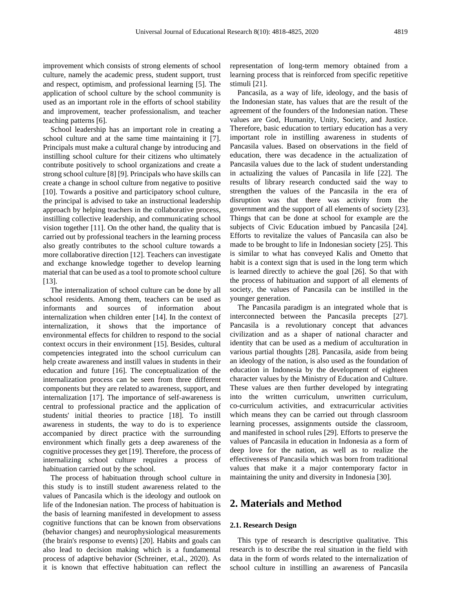improvement which consists of strong elements of school culture, namely the academic press, student support, trust and respect, optimism, and professional learning [5]. The application of school culture by the school community is used as an important role in the efforts of school stability and improvement, teacher professionalism, and teacher teaching patterns [6].

School leadership has an important role in creating a school culture and at the same time maintaining it [7]. Principals must make a cultural change by introducing and instilling school culture for their citizens who ultimately contribute positively to school organizations and create a strong school culture [8] [9]. Principals who have skills can create a change in school culture from negative to positive [10]. Towards a positive and participatory school culture, the principal is advised to take an instructional leadership approach by helping teachers in the collaborative process, instilling collective leadership, and communicating school vision together [11]. On the other hand, the quality that is carried out by professional teachers in the learning process also greatly contributes to the school culture towards a more collaborative direction [12]. Teachers can investigate and exchange knowledge together to develop learning material that can be used as a tool to promote school culture [13].

The internalization of school culture can be done by all school residents. Among them, teachers can be used as informants and sources of information about internalization when children enter [14]. In the context of internalization, it shows that the importance of environmental effects for children to respond to the social context occurs in their environment [15]. Besides, cultural competencies integrated into the school curriculum can help create awareness and instill values in students in their education and future [16]. The conceptualization of the internalization process can be seen from three different components but they are related to awareness, support, and internalization [17]. The importance of self-awareness is central to professional practice and the application of students' initial theories to practice [18]. To instill awareness in students, the way to do is to experience accompanied by direct practice with the surrounding environment which finally gets a deep awareness of the cognitive processes they get [19]. Therefore, the process of internalizing school culture requires a process of habituation carried out by the school.

The process of habituation through school culture in this study is to instill student awareness related to the values of Pancasila which is the ideology and outlook on life of the Indonesian nation. The process of habituation is the basis of learning manifested in development to assess cognitive functions that can be known from observations (behavior changes) and neurophysiological measurements (the brain's response to events) [20]. Habits and goals can also lead to decision making which is a fundamental process of adaptive behavior (Schreiner, et.al., 2020). As it is known that effective habituation can reflect the

representation of long-term memory obtained from a learning process that is reinforced from specific repetitive stimuli [21].

Pancasila, as a way of life, ideology, and the basis of the Indonesian state, has values that are the result of the agreement of the founders of the Indonesian nation. These values are God, Humanity, Unity, Society, and Justice. Therefore, basic education to tertiary education has a very important role in instilling awareness in students of Pancasila values. Based on observations in the field of education, there was decadence in the actualization of Pancasila values due to the lack of student understanding in actualizing the values of Pancasila in life [22]. The results of library research conducted said the way to strengthen the values of the Pancasila in the era of disruption was that there was activity from the government and the support of all elements of society [23]. Things that can be done at school for example are the subjects of Civic Education imbued by Pancasila [24]. Efforts to revitalize the values of Pancasila can also be made to be brought to life in Indonesian society [25]. This is similar to what has conveyed Kalis and Ometto that habit is a context sign that is used in the long term which is learned directly to achieve the goal [26]. So that with the process of habituation and support of all elements of society, the values of Pancasila can be instilled in the younger generation.

The Pancasila paradigm is an integrated whole that is interconnected between the Pancasila precepts [27]. Pancasila is a revolutionary concept that advances civilization and as a shaper of national character and identity that can be used as a medium of acculturation in various partial thoughts [28]. Pancasila, aside from being an ideology of the nation, is also used as the foundation of education in Indonesia by the development of eighteen character values by the Ministry of Education and Culture. These values are then further developed by integrating into the written curriculum, unwritten curriculum, co-curriculum activities, and extracurricular activities which means they can be carried out through classroom learning processes, assignments outside the classroom, and manifested in school rules [29]. Efforts to preserve the values of Pancasila in education in Indonesia as a form of deep love for the nation, as well as to realize the effectiveness of Pancasila which was born from traditional values that make it a major contemporary factor in maintaining the unity and diversity in Indonesia [30].

### **2. Materials and Method**

#### **2.1. Research Design**

This type of research is descriptive qualitative. This research is to describe the real situation in the field with data in the form of words related to the internalization of school culture in instilling an awareness of Pancasila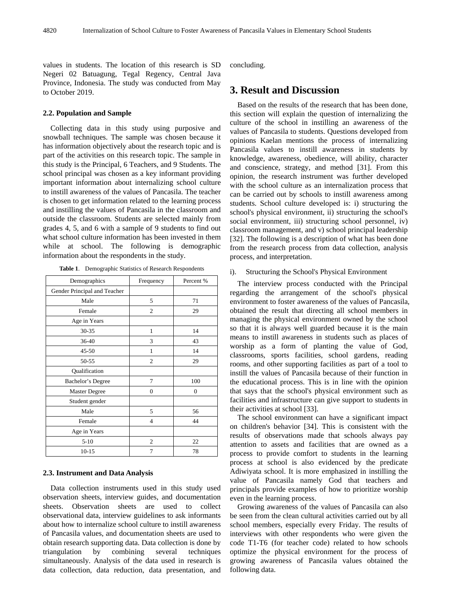values in students. The location of this research is SD Negeri 02 Batuagung, Tegal Regency, Central Java Province, Indonesia. The study was conducted from May to October 2019.

#### **2.2. Population and Sample**

Collecting data in this study using purposive and snowball techniques. The sample was chosen because it has information objectively about the research topic and is part of the activities on this research topic. The sample in this study is the Principal, 6 Teachers, and 9 Students. The school principal was chosen as a key informant providing important information about internalizing school culture to instill awareness of the values of Pancasila. The teacher is chosen to get information related to the learning process and instilling the values of Pancasila in the classroom and outside the classroom. Students are selected mainly from grades 4, 5, and 6 with a sample of 9 students to find out what school culture information has been invested in them while at school. The following is demographic information about the respondents in the study.

| Demographics                 | Frequency      | Percent % |  |
|------------------------------|----------------|-----------|--|
| Gender Principal and Teacher |                |           |  |
| Male                         | 5              | 71        |  |
| Female                       | $\overline{c}$ | 29        |  |
| Age in Years                 |                |           |  |
| $30 - 35$                    | 1              | 14        |  |
| 36-40                        | 3              | 43        |  |
| $45 - 50$                    | 1              | 14        |  |
| 50-55                        | $\overline{2}$ | 29        |  |
| Qualification                |                |           |  |
| Bachelor's Degree            | 7              | 100       |  |
| Master Degree                | $\overline{0}$ | $\Omega$  |  |
| Student gender               |                |           |  |
| Male                         | 5              | 56        |  |
| Female                       | $\overline{4}$ | 44        |  |
| Age in Years                 |                |           |  |
| $5 - 10$                     | $\overline{c}$ | 22        |  |
| $10-15$                      | 7              | 78        |  |

**Table 1**. Demographic Statistics of Research Respondents

### **2.3. Instrument and Data Analysis**

Data collection instruments used in this study used observation sheets, interview guides, and documentation sheets. Observation sheets are used to collect observational data, interview guidelines to ask informants about how to internalize school culture to instill awareness of Pancasila values, and documentation sheets are used to obtain research supporting data. Data collection is done by triangulation by combining several techniques simultaneously. Analysis of the data used in research is data collection, data reduction, data presentation, and

concluding.

# **3. Result and Discussion**

Based on the results of the research that has been done, this section will explain the question of internalizing the culture of the school in instilling an awareness of the values of Pancasila to students. Questions developed from opinions Kaelan mentions the process of internalizing Pancasila values to instill awareness in students by knowledge, awareness, obedience, will ability, character and conscience, strategy, and method [31]. From this opinion, the research instrument was further developed with the school culture as an internalization process that can be carried out by schools to instill awareness among students. School culture developed is: i) structuring the school's physical environment, ii) structuring the school's social environment, iii) structuring school personnel, iv) classroom management, and v) school principal leadership [32]. The following is a description of what has been done from the research process from data collection, analysis process, and interpretation.

i). Structuring the School's Physical Environment

The interview process conducted with the Principal regarding the arrangement of the school's physical environment to foster awareness of the values of Pancasila, obtained the result that directing all school members in managing the physical environment owned by the school so that it is always well guarded because it is the main means to instill awareness in students such as places of worship as a form of planting the value of God, classrooms, sports facilities, school gardens, reading rooms, and other supporting facilities as part of a tool to instill the values of Pancasila because of their function in the educational process. This is in line with the opinion that says that the school's physical environment such as facilities and infrastructure can give support to students in their activities at school [33].

The school environment can have a significant impact on children's behavior [34]. This is consistent with the results of observations made that schools always pay attention to assets and facilities that are owned as a process to provide comfort to students in the learning process at school is also evidenced by the predicate Adiwiyata school. It is more emphasized in instilling the value of Pancasila namely God that teachers and principals provide examples of how to prioritize worship even in the learning process.

Growing awareness of the values of Pancasila can also be seen from the clean cultural activities carried out by all school members, especially every Friday. The results of interviews with other respondents who were given the code T1-T6 (for teacher code) related to how schools optimize the physical environment for the process of growing awareness of Pancasila values obtained the following data.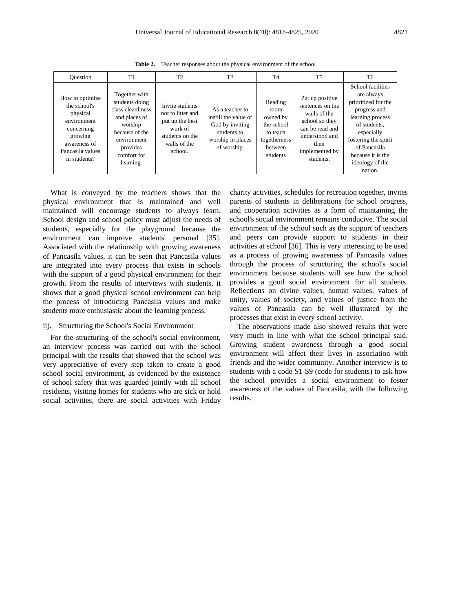| <b>Ouestion</b>                                                                                                                         | T1                                                                                                                                                        | T <sub>2</sub>                                                                                                   | T <sub>3</sub>                                                                                                | T <sub>4</sub>                                                                               | <b>T5</b>                                                                                                                                         | T6                                                                                                                                                                                                                  |
|-----------------------------------------------------------------------------------------------------------------------------------------|-----------------------------------------------------------------------------------------------------------------------------------------------------------|------------------------------------------------------------------------------------------------------------------|---------------------------------------------------------------------------------------------------------------|----------------------------------------------------------------------------------------------|---------------------------------------------------------------------------------------------------------------------------------------------------|---------------------------------------------------------------------------------------------------------------------------------------------------------------------------------------------------------------------|
| How to optimize<br>the school's<br>physical<br>environment<br>concerning<br>growing<br>awareness of<br>Pancasila values<br>in students? | Together with<br>students doing<br>class cleanliness<br>and places of<br>worship<br>because of the<br>environment<br>provides<br>comfort for<br>learning. | Invite students<br>not to litter and<br>put up the best<br>work of<br>students on the<br>walls of the<br>school. | As a teacher to<br>instill the value of<br>God by inviting<br>students to<br>worship in places<br>of worship. | Reading<br>room<br>owned by<br>the school<br>to teach<br>togetherness<br>between<br>students | Put up positive<br>sentences on the<br>walls of the<br>school so they<br>can be read and<br>understood and<br>then<br>implemented by<br>students. | School facilities<br>are always<br>prioritized for the<br>progress and<br>learning process<br>of students.<br>especially<br>fostering the spirit<br>of Pancasila<br>because it is the<br>ideology of the<br>nation. |

**Table 2.** Teacher responses about the physical environment of the school

What is conveyed by the teachers shows that the physical environment that is maintained and well maintained will encourage students to always learn. School design and school policy must adjust the needs of students, especially for the playground because the environment can improve students' personal [35]. Associated with the relationship with growing awareness of Pancasila values, it can be seen that Pancasila values are integrated into every process that exists in schools with the support of a good physical environment for their growth. From the results of interviews with students, it shows that a good physical school environment can help the process of introducing Pancasila values and make students more enthusiastic about the learning process.

#### ii). Structuring the School's Social Environment

For the structuring of the school's social environment, an interview process was carried out with the school principal with the results that showed that the school was very appreciative of every step taken to create a good school social environment, as evidenced by the existence of school safety that was guarded jointly with all school residents, visiting homes for students who are sick or hold social activities, there are social activities with Friday charity activities, schedules for recreation together, invites parents of students in deliberations for school progress, and cooperation activities as a form of maintaining the school's social environment remains conducive. The social environment of the school such as the support of teachers and peers can provide support to students in their activities at school [36]. This is very interesting to be used as a process of growing awareness of Pancasila values through the process of structuring the school's social environment because students will see how the school provides a good social environment for all students. Reflections on divine values, human values, values of unity, values of society, and values of justice from the values of Pancasila can be well illustrated by the processes that exist in every school activity.

The observations made also showed results that were very much in line with what the school principal said. Growing student awareness through a good social environment will affect their lives in association with friends and the wider community. Another interview is to students with a code S1-S9 (code for students) to ask how the school provides a social environment to foster awareness of the values of Pancasila, with the following results.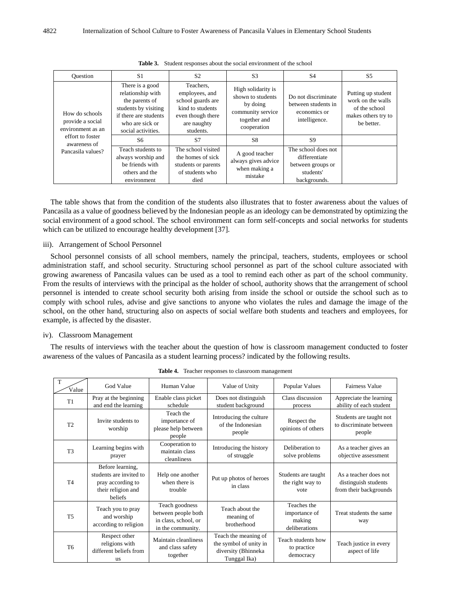| Ouestion                                                                                                         | S <sub>1</sub>                                                                                                                                   | S <sub>2</sub>                                                                                                        | S <sub>3</sub>                                                                                          | S <sub>4</sub>                                                                         | S5                                                                                            |
|------------------------------------------------------------------------------------------------------------------|--------------------------------------------------------------------------------------------------------------------------------------------------|-----------------------------------------------------------------------------------------------------------------------|---------------------------------------------------------------------------------------------------------|----------------------------------------------------------------------------------------|-----------------------------------------------------------------------------------------------|
| How do schools<br>provide a social<br>environment as an<br>effort to foster<br>awareness of<br>Pancasila values? | There is a good<br>relationship with<br>the parents of<br>students by visiting<br>if there are students<br>who are sick or<br>social activities. | Teachers,<br>employees, and<br>school guards are<br>kind to students<br>even though there<br>are naughty<br>students. | High solidarity is<br>shown to students<br>by doing<br>community service<br>together and<br>cooperation | Do not discriminate<br>between students in<br>economics or<br>intelligence.            | Putting up student<br>work on the walls<br>of the school<br>makes others try to<br>be better. |
|                                                                                                                  | S6                                                                                                                                               | S7                                                                                                                    | <b>S8</b>                                                                                               | S9                                                                                     |                                                                                               |
|                                                                                                                  | Teach students to<br>always worship and<br>be friends with<br>others and the<br>environment                                                      | The school visited<br>the homes of sick<br>students or parents<br>of students who<br>died                             | A good teacher<br>always gives advice<br>when making a<br>mistake                                       | The school does not<br>differentiate<br>between groups or<br>students'<br>backgrounds. |                                                                                               |

**Table 3.** Student responses about the social environment of the school

The table shows that from the condition of the students also illustrates that to foster awareness about the values of Pancasila as a value of goodness believed by the Indonesian people as an ideology can be demonstrated by optimizing the social environment of a good school. The school environment can form self-concepts and social networks for students which can be utilized to encourage healthy development [37].

### iii). Arrangement of School Personnel

School personnel consists of all school members, namely the principal, teachers, students, employees or school administration staff, and school security. Structuring school personnel as part of the school culture associated with growing awareness of Pancasila values can be used as a tool to remind each other as part of the school community. From the results of interviews with the principal as the holder of school, authority shows that the arrangement of school personnel is intended to create school security both arising from inside the school or outside the school such as to comply with school rules, advise and give sanctions to anyone who violates the rules and damage the image of the school, on the other hand, structuring also on aspects of social welfare both students and teachers and employees, for example, is affected by the disaster.

### iv). Classroom Management

The results of interviews with the teacher about the question of how is classroom management conducted to foster awareness of the values of Pancasila as a student learning process? indicated by the following results.

| $\mathbf T$<br>Value | God Value                                                                                                | Human Value                                                                        | Value of Unity                                                                        | Popular Values                                          | Fairness Value                                                          |
|----------------------|----------------------------------------------------------------------------------------------------------|------------------------------------------------------------------------------------|---------------------------------------------------------------------------------------|---------------------------------------------------------|-------------------------------------------------------------------------|
| T1                   | Pray at the beginning<br>and end the learning                                                            | Enable class picket<br>schedule                                                    | Does not distinguish<br>student background                                            | Class discussion<br>process                             | Appreciate the learning<br>ability of each student                      |
| T2                   | Invite students to<br>worship                                                                            | Teach the<br>importance of<br>please help between<br>people                        | Introducing the culture<br>of the Indonesian<br>people                                | Respect the<br>opinions of others                       | Students are taught not<br>to discriminate between<br>people            |
| T <sub>3</sub>       | Learning begins with<br>prayer                                                                           | Cooperation to<br>maintain class<br>cleanliness                                    | Introducing the history<br>of struggle                                                | Deliberation to<br>solve problems                       | As a teacher gives an<br>objective assessment                           |
| <b>T4</b>            | Before learning,<br>students are invited to<br>pray according to<br>their religion and<br><b>beliefs</b> | Help one another<br>when there is<br>trouble                                       | Put up photos of heroes<br>in class                                                   | Students are taught<br>the right way to<br>vote         | As a teacher does not<br>distinguish students<br>from their backgrounds |
| <b>T5</b>            | Teach you to pray<br>and worship<br>according to religion                                                | Teach goodness<br>between people both<br>in class, school, or<br>in the community. | Teach about the<br>meaning of<br>brotherhood                                          | Teaches the<br>importance of<br>making<br>deliberations | Treat students the same<br>way                                          |
| T <sub>6</sub>       | Respect other<br>religions with<br>different beliefs from<br><b>us</b>                                   | Maintain cleanliness<br>and class safety<br>together                               | Teach the meaning of<br>the symbol of unity in<br>diversity (Bhinneka<br>Tunggal Ika) | Teach students how<br>to practice<br>democracy          | Teach justice in every<br>aspect of life                                |

**Table 4.** Teacher responses to classroom management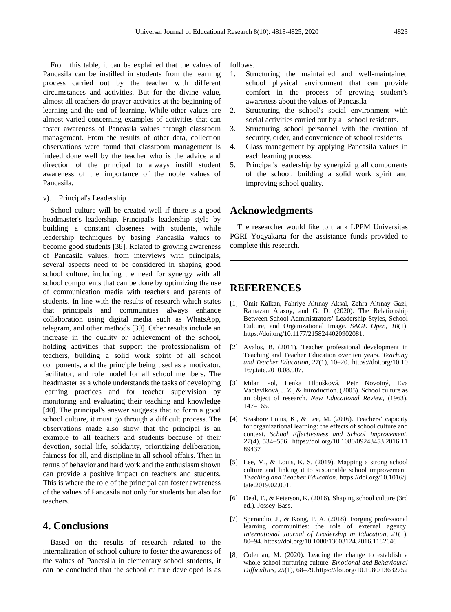From this table, it can be explained that the values of Pancasila can be instilled in students from the learning process carried out by the teacher with different circumstances and activities. But for the divine value, almost all teachers do prayer activities at the beginning of learning and the end of learning. While other values are almost varied concerning examples of activities that can foster awareness of Pancasila values through classroom management. From the results of other data, collection observations were found that classroom management is indeed done well by the teacher who is the advice and direction of the principal to always instill student awareness of the importance of the noble values of Pancasila.

#### v). Principal's Leadership

School culture will be created well if there is a good headmaster's leadership. Principal's leadership style by building a constant closeness with students, while leadership techniques by basing Pancasila values to become good students [38]. Related to growing awareness of Pancasila values, from interviews with principals, several aspects need to be considered in shaping good school culture, including the need for synergy with all school components that can be done by optimizing the use of communication media with teachers and parents of students. In line with the results of research which states that principals and communities always enhance collaboration using digital media such as WhatsApp, telegram, and other methods [39]. Other results include an increase in the quality or achievement of the school, holding activities that support the professionalism of teachers, building a solid work spirit of all school components, and the principle being used as a motivator, facilitator, and role model for all school members. The headmaster as a whole understands the tasks of developing learning practices and for teacher supervision by monitoring and evaluating their teaching and knowledge [40]. The principal's answer suggests that to form a good school culture, it must go through a difficult process. The observations made also show that the principal is an example to all teachers and students because of their devotion, social life, solidarity, prioritizing deliberation, fairness for all, and discipline in all school affairs. Then in terms of behavior and hard work and the enthusiasm shown can provide a positive impact on teachers and students. This is where the role of the principal can foster awareness of the values of Pancasila not only for students but also for teachers.

## **4. Conclusions**

Based on the results of research related to the internalization of school culture to foster the awareness of the values of Pancasila in elementary school students, it can be concluded that the school culture developed is as

follows.

- 1. Structuring the maintained and well-maintained school physical environment that can provide comfort in the process of growing student's awareness about the values of Pancasila
- 2. Structuring the school's social environment with social activities carried out by all school residents.
- 3. Structuring school personnel with the creation of security, order, and convenience of school residents
- 4. Class management by applying Pancasila values in each learning process.
- 5. Principal's leadership by synergizing all components of the school, building a solid work spirit and improving school quality.

### **Acknowledgments**

The researcher would like to thank LPPM Universitas PGRI Yogyakarta for the assistance funds provided to complete this research.

### **REFERENCES**

- [1] Ümit Kalkan, Fahriye Altınay Aksal, Zehra Altınay Gazi, Ramazan Atasoy, and G. D. (2020). The Relationship Between School Administrators' Leadership Styles, School Culture, and Organizational Image. *SAGE Open*, *10*(1). https://doi.org/10.1177/2158244020902081.
- [2] Avalos, B. (2011). Teacher professional development in Teaching and Teacher Education over ten years. *Teaching and Teacher Education*, *27*(1), 10–20. https://doi.org/10.10 16/j.tate.2010.08.007.
- [3] Milan Pol, Lenka Hloušková, Petr Novotný, Eva Václavíková, J. Z., & Introduction. (2005). School culture as an object of research. *New Educational Review*, (1963), 147–165.
- [4] Seashore Louis, K., & Lee, M. (2016). Teachers' capacity for organizational learning: the effects of school culture and context. *School Effectiveness and School Improvement*, *27*(4), 534–556. https://doi.org/10.1080/09243453.2016.11 89437
- [5] Lee, M., & Louis, K. S. (2019). Mapping a strong school culture and linking it to sustainable school improvement. *Teaching and Teacher Education*. https://doi.org/10.1016/j. tate.2019.02.001.
- [6] Deal, T., & Peterson, K. (2016). Shaping school culture (3rd ed.). Jossey-Bass.
- [7] Sperandio, J., & Kong, P. A. (2018). Forging professional learning communities: the role of external agency. *International Journal of Leadership in Education*, *21*(1), 80–94. https://doi.org/10.1080/13603124.2016.1182646
- [8] Coleman, M. (2020). Leading the change to establish a whole-school nurturing culture. *Emotional and Behavioural Difficulties*, *25*(1), 68–79. https://doi.org/10.1080/13632752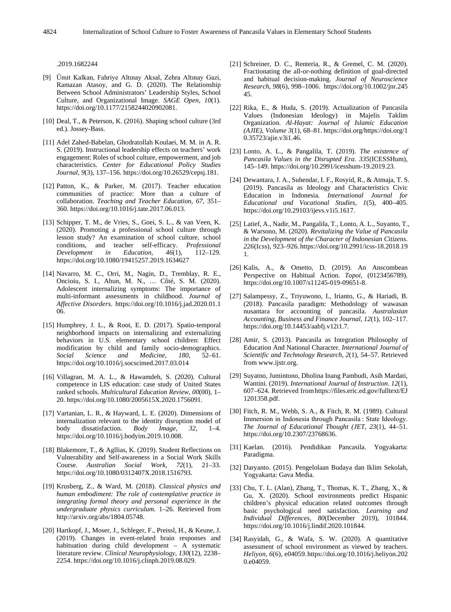.2019.1682244

- [9] Ümit Kalkan, Fahriye Altınay Aksal, Zehra Altınay Gazi, Ramazan Atasoy, and G. D. (2020). The Relationship Between School Administrators' Leadership Styles, School Culture, and Organizational Image. *SAGE Open*, *10*(1). https://doi.org/10.1177/2158244020902081.
- [10] Deal, T., & Peterson, K. (2016). Shaping school culture (3rd ed.). Jossey-Bass.
- [11] Adel Zahed-Babelan, Ghodratollah Koulaei, M. M. in A. R. S. (2019). Instructional leadership effects on teachers' work engagement: Roles of school culture, empowerment, and job characteristics. *Center for Educational Policy Studies Journal*, *9*(3), 137–156. https://doi.org/10.26529/cepsj.181.
- [12] Patton, K., & Parker, M. (2017). Teacher education communities of practice: More than a culture of collaboration. *Teaching and Teacher Education*, *67*, 351– 360. https://doi.org/10.1016/j.tate.2017.06.013.
- [13] Schipper, T. M., de Vries, S., Goei, S. L., & van Veen, K. (2020). Promoting a professional school culture through lesson study? An examination of school culture, school conditions, and teacher self-efficacy. *Professional Development in Education*, *46*(1), 112–129. https://doi.org/10.1080/19415257.2019.1634627
- [14] Navarro, M. C., Orri, M., Nagin, D., Tremblay, R. E., Oncioiu, S. I., Ahun, M. N., … Côté, S. M. (2020). Adolescent internalizing symptoms: The importance of multi-informant assessments in childhood. *Journal of Affective Disorders*. https://doi.org/10.1016/j.jad.2020.01.1 06.
- [15] Humphrey, J. L., & Root, E. D. (2017). Spatio-temporal neighborhood impacts on internalizing and externalizing behaviors in U.S. elementary school children: Effect modification by child and family socio-demographics.<br>Social Science and Medicine, 180, 52-61. *Social Science and Medicine*, 180, https://doi.org/10.1016/j.socscimed.2017.03.014
- [16] Villagran, M. A. L., & Hawamdeh, S. (2020). Cultural competence in LIS education: case study of United States ranked schools. *Multicultural Education Review*, *00*(00), 1– 20. https://doi.org/10.1080/2005615X.2020.1756091.
- [17] Vartanian, L. R., & Hayward, L. E. (2020). Dimensions of internalization relevant to the identity disruption model of body dissatisfaction. *Body Image*, 32, 1–4. body dissatisfaction. *Body Image*, *32*, 1–4. https://doi.org/10.1016/j.bodyim.2019.10.008.
- [18] Blakemore, T., & Agllias, K. (2019). Student Reflections on Vulnerability and Self-awareness in a Social Work Skills Course. *Australian Social Work*, *72*(1), 21–33. https://doi.org/10.1080/0312407X.2018.1516793.
- [19] Krusberg, Z., & Ward, M. (2018). *Classical physics and human embodiment: The role of contemplative practice in integrating formal theory and personal experience in the undergraduate physics curriculum*. 1–26. Retrieved from http://arxiv.org/abs/1804.05748.
- [20] Hartkopf, J., Moser, J., Schleger, F., Preissl, H., & Keune, J. (2019). Changes in event-related brain responses and habituation during child development – A systematic literature review. *Clinical Neurophysiology*, *130*(12), 2238– 2254. https://doi.org/10.1016/j.clinph.2019.08.029.
- [21] Schreiner, D. C., Renteria, R., & Gremel, C. M. (2020). Fractionating the all-or-nothing definition of goal-directed and habitual decision-making. *Journal of Neuroscience Research*, *98*(6), 998–1006. https://doi.org/10.1002/jnr.245 45.
- [22] Rika, E., & Huda, S. (2019). Actualization of Pancasila Values (Indonesian Ideology) in Majelis Taklim Organization. *Al-Hayat: Journal of Islamic Education (AJIE)*, *Volume 3*(1), 68–81. https://doi.org/https://doi.org/1 0.35723/ajie.v3i1.46.
- [23] Lonto, A. L., & Pangalila, T. (2019). *The existence of Pancasila Values in the Disrupted Era*. *335*(ICESSHum), 145–149. https://doi.org/10.2991/icesshum-19.2019.23.
- [24] Dewantara, J. A., Suhendar, I. F., Rosyid, R., & Atmaja, T. S. (2019). Pancasila as Ideology and Characteristics Civic Education in Indonesia. *International Journal for Educational and Vocational Studies*, *1*(5), 400–405. https://doi.org/10.29103/ijevs.v1i5.1617.
- [25] Latief, A., Nadir, M., Pangalila, T., Lonto, A. L., Suyanto, T., & Warsono, M. (2020). *Revitalizing the Value of Pancasila in the Development of the Character of Indonesian Citizens*. *226*(Icss), 923–926. https://doi.org/10.2991/icss-18.2018.19 1.
- [26] Kalis, A., & Ometto, D. (2019). An Anscombean Perspective on Habitual Action. *Topoi*, (0123456789). https://doi.org/10.1007/s11245-019-09651-8.
- [27] Salampessy, Z., Triyuwono, I., Irianto, G., & Hariadi, B. (2018). Pancasila paradigm: Methodology of wawasan nusantara for accounting of pancasila. *Australasian Accounting, Business and Finance Journal*, *12*(1), 102–117. https://doi.org/10.14453/aabfj.v12i1.7.
- [28] Amir, S. (2013). Pancasila as Integration Philosophy of Education And National Character. *International Journal of Scientific and Technology Research*, *2*(1), 54–57. Retrieved from www.ijstr.org.
- [29] Suyatno, Jumintono, Dholina Inang Pambudi, Asih Mardati, Wantini. (2019). *International Journal of Instruction*. *12*(1), 607–624. Retrieved fromhttps://files.eric.ed.gov/fulltext/EJ 1201358.pdf.
- [30] Fitch, R. M., Webb, S. A., & Fitch, R. M. (1989). Cultural Immersion in Indonesia through Pancasila : State Ideology. *The Journal of Educational Thought (JET*, *23*(1), 44–51. https://doi.org/10.2307/23768636.
- [31] Kaelan. (2016). Pendidikan Pancasila. Yogyakarta: Paradigma.
- [32] Daryanto. (2015). Pengelolaan Budaya dan Iklim Sekolah, Yogyakarta: Gava Media.
- [33] Chu, T. L. (Alan), Zhang, T., Thomas, K. T., Zhang, X., & Gu, X. (2020). School environments predict Hispanic children's physical education related outcomes through basic psychological need satisfaction. *Learning and Individual Differences*, *80*(December 2019), 101844. https://doi.org/10.1016/j.lindif.2020.101844.
- [34] Rasyidah, G., & Wafa, S. W. (2020). A quantitative assessment of school environment as viewed by teachers. *Heliyon*, *6*(6), e04059.https://doi.org/10.1016/j.heliyon.202 0.e04059.